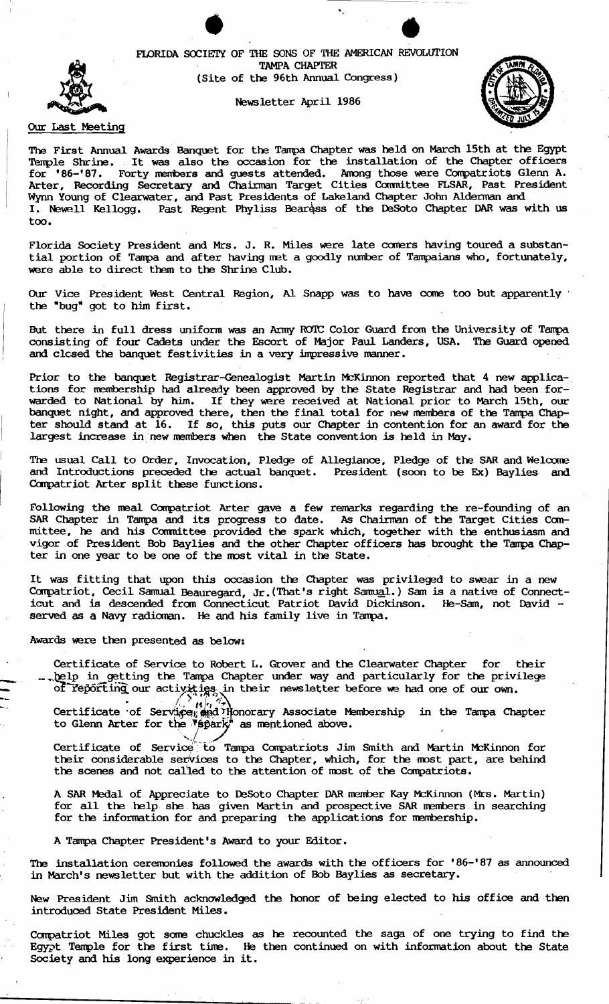FLORIDA SOCIETY OF THE SONS OF THE AMERICAN REVOLUTION TAMPA CHAPTER (Site of the 96th Annual Congress)

Newsletter April 1986



# Our Last Meeting

The First Annual Awards Banquet for the Tampa Chapter was held on March 15th at the Egypt Tenple Shrine. It was also the occasion for the installation of the Chapter officers for '86-'87. Forty members and guests attended. Among those were Compatriots Glenn A. Arter, Recording Secretary and Chairman Target Cities Committee FLSAR, Past President Wynn Young of Clearwater, and Past Presidents of Lakeland Chapter John Aldennan and I. Newell Kellogg. Past Regent Phyliss Beargss of the DeSoto Chapter DAR was with us too. .

Florida Society President and Mrs. J. R. Miles were late comers having toured a substantial portion of Tampa and after having met a goodly number of Tampaians who, fortunately, were able to direct them to the Shrine Club.

Our Vice President West Central Region, Al Snapp was to have come too but apparently the "bug" got to him first.

But there in full dress uniform was an Army ROTC Color Guard from the University of Tampa consisting of four Cadets under the Escort of Major Paul Landers, USA. The Guard opened and clcsed the banquet festivities in a very impressive manner.

Prior to the banquet Registrar-Genealogist Martin McKinnon reported that 4 new applica-. tions for membership had already been approved by the State Registrar and had been for warded to National by him. If they were received at National prior to March 15th, our banquet night, and approved there, then the final total for new members of the Tampa Chapter should stand at 16. If so, this puts our Chapter in contention for an award for the largest increase in new members when the State convention is held in May.

The usual Call to Order, Invocation, Pledge of Allegiance, Pledge of the SAR and Welcome and Introductions preceded the actual banquet. President (soon to be Ex) Baylies and Compatriot Arter split these functions.

Following the meal Compatriot Arter gave a few remarks regarding the re-founding of an SAR Chapter in Tampa and its progress to date. As Chairman of the Target Cities Committee, he and his Committee provided the spark which, together with the enthusiasm and vigor of President Bob Baylies and the other Chapter officers has brought the Tanpa Chapter in one year to be one of the roost vital in the State.

It was fitting that upon this occasion the Chapter was privileged to swear in a new Compatriot, Cecil Samual Beauregard, Jr. (That's right Samual.) Sam is a native of Connecticut and is descended from Connecticut Patriot David Dickinson. He-Sam, not David served as a Navy radioman. He and his family live in Tampa.

Awards were then presented as below:

Certificate of Service to Robert L. Grover and the Clearwater Chapter for their \_. \_ .•.~lp in getting the Tampa Chapter under way and partiCUlarly for the privilege or being the lampa Chapter under way and particularly for the priv.<br>Or leporting our activities in their newsletter before we had one of our own.

Certificate of Service, and Honorary Associate Membership in the Tampa Chapter to Glenn Arter for the  $\sqrt[3]{8}$  park<sup>"</sup> as mentioned above.

...<br>Certificate of Service to Tampa Compatriots Jim Smith and Martin McKinnon for their considerable services to the Chapter, which, for the most part, are behind the scenes and not called to the attention of most of the Compatriots.

A SAR Medal of Appreciate to DeSoto Chapter DAR member Kay McKinnon (Mrs. Martin) for all the help she has given Martin and prospective SAR members in searching for the information for and preparing the applications for membership.

A Tampa Chapter President's Award to your Editor.

The installation ceremonies followed the awards with the officers for '86-'87 as announced in March's newsletter but with the addition of Bob Baylies as secretary.

New President Jim Smith acknowledged the honor of being elected to his office and then introduced State President Miles.

Compatriot Miles got some chuckles as he recounted the saga of one trying to find the Egypt Temple for the first time. He then continued on with information about the State Society and his long experience in it.